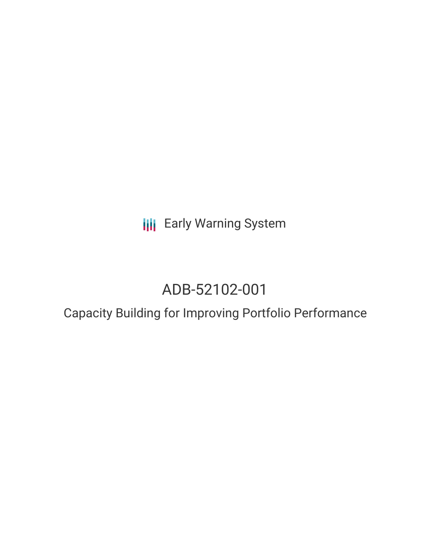**III** Early Warning System

# ADB-52102-001

## Capacity Building for Improving Portfolio Performance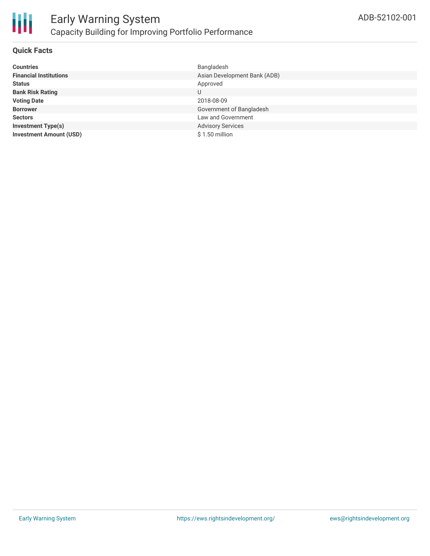

#### **Quick Facts**

| <b>Countries</b>               | Bangladesh                   |
|--------------------------------|------------------------------|
| <b>Financial Institutions</b>  | Asian Development Bank (ADB) |
| <b>Status</b>                  | Approved                     |
| <b>Bank Risk Rating</b>        | U                            |
| <b>Voting Date</b>             | 2018-08-09                   |
| <b>Borrower</b>                | Government of Bangladesh     |
| <b>Sectors</b>                 | Law and Government           |
| <b>Investment Type(s)</b>      | <b>Advisory Services</b>     |
| <b>Investment Amount (USD)</b> | $$1.50$ million              |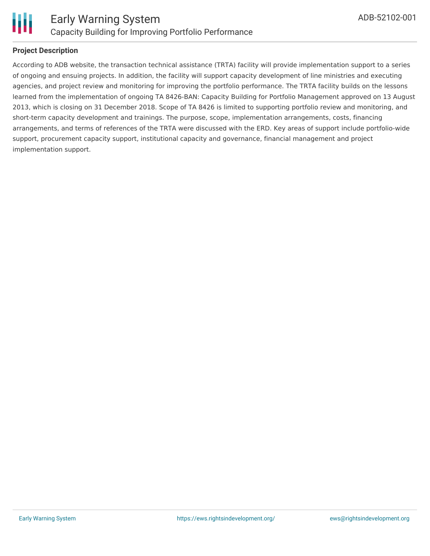

#### **Project Description**

According to ADB website, the transaction technical assistance (TRTA) facility will provide implementation support to a series of ongoing and ensuing projects. In addition, the facility will support capacity development of line ministries and executing agencies, and project review and monitoring for improving the portfolio performance. The TRTA facility builds on the lessons learned from the implementation of ongoing TA 8426-BAN: Capacity Building for Portfolio Management approved on 13 August 2013, which is closing on 31 December 2018. Scope of TA 8426 is limited to supporting portfolio review and monitoring, and short-term capacity development and trainings. The purpose, scope, implementation arrangements, costs, financing arrangements, and terms of references of the TRTA were discussed with the ERD. Key areas of support include portfolio-wide support, procurement capacity support, institutional capacity and governance, financial management and project implementation support.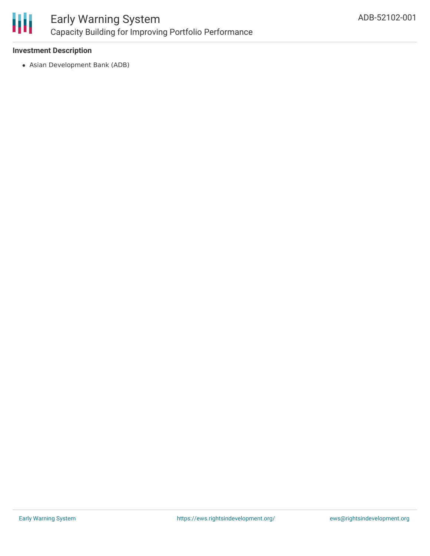

## Early Warning System Capacity Building for Improving Portfolio Performance

#### **Investment Description**

Asian Development Bank (ADB)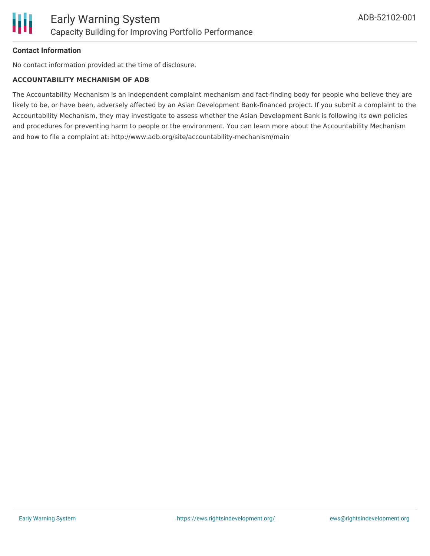

#### **Contact Information**

No contact information provided at the time of disclosure.

#### **ACCOUNTABILITY MECHANISM OF ADB**

The Accountability Mechanism is an independent complaint mechanism and fact-finding body for people who believe they are likely to be, or have been, adversely affected by an Asian Development Bank-financed project. If you submit a complaint to the Accountability Mechanism, they may investigate to assess whether the Asian Development Bank is following its own policies and procedures for preventing harm to people or the environment. You can learn more about the Accountability Mechanism and how to file a complaint at: http://www.adb.org/site/accountability-mechanism/main